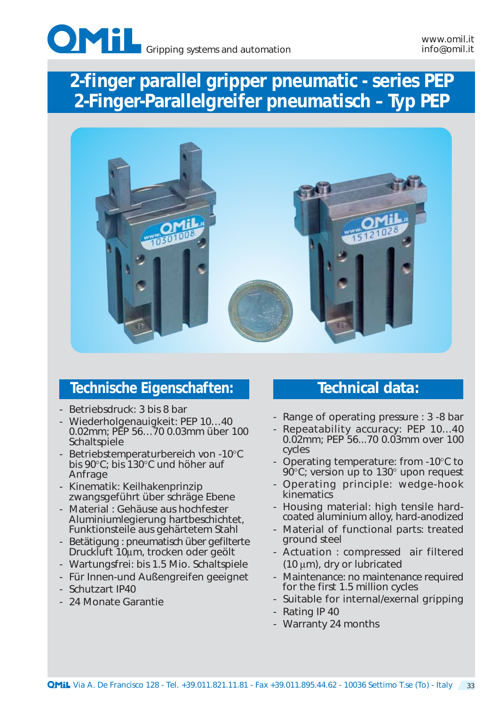



### **Technische Eigenschaften: Technical data:**

- Betriebsdruck: 3 bis 8 bar
- Wiederholgenauigkeit: PEP 10…40 0.02mm; PEP 56…70 0.03mm über 100 Schaltspiele
- Betriebstemperaturbereich von -10°C bis 90°C; bis 130°C und höher auf **Anfrage**
- Kinematik: Keilhakenprinzip zwangsgeführt über schräge Ebene
- Material : Gehäuse aus hochfester Aluminiumlegierung hartbeschichtet, Funktionsteile aus gehärtetem Stahl
- Betätigung : pneumatisch über gefilterte Druckluft 10µm, trocken oder geölt
- Wartungsfrei: bis 1.5 Mio. Schaltspiele
- Für Innen-und Außengreifen geeignet
- Schutzart IP40
- 24 Monate Garantie

- Range of operating pressure : 3 -8 bar
- Repeatability accuracy: PEP 10...40 0.02mm; PEP 56...70 0.03mm over 100 cycles
- Operating temperature: from -10°C to  $90^{\circ}$ C; version up to 130 $^{\circ}$  upon request
- Operating principle: wedge-hook kinematics
- Housing material: high tensile hardcoated aluminium alloy, hard-anodized
- Material of functional parts: treated ground steel
- Actuation : compressed air filtered (10 µm), dry or lubricated
- Maintenance: no maintenance required for the first 1.5 million cycles
- Suitable for internal/exernal gripping
- Rating IP 40
- Warranty 24 months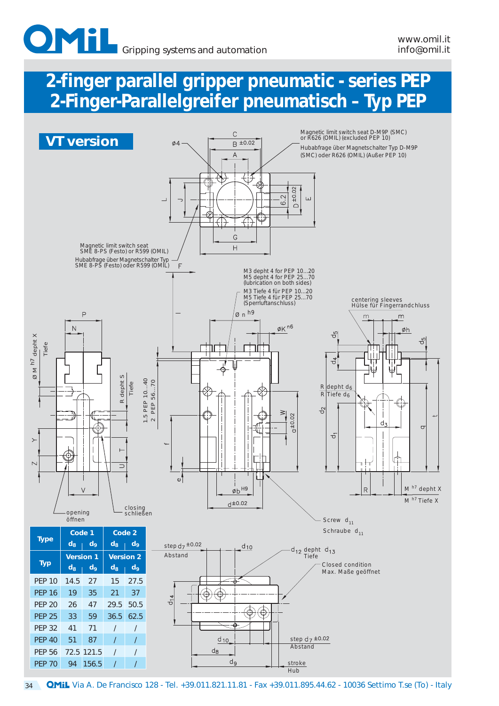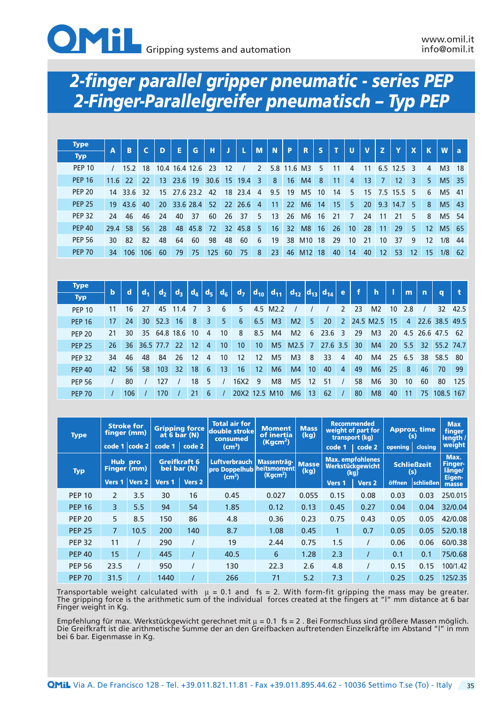

| <b>Type</b>   |               | A    | B    |     | D  | E              | G         | н    | ŋ,              | п.   | <b>M</b>       | $\mathbf{N}$ | $\mathbf{P}$    | $\mathbf R$     | <b>S</b> | т   | <b>U</b> | $\mathbf v$ | z   | Y    | X  |                | <b>W</b>          |    |
|---------------|---------------|------|------|-----|----|----------------|-----------|------|-----------------|------|----------------|--------------|-----------------|-----------------|----------|-----|----------|-------------|-----|------|----|----------------|-------------------|----|
| <b>Typ</b>    |               |      |      |     |    |                |           |      |                 |      |                |              |                 |                 |          |     |          |             |     |      |    |                |                   | a  |
|               | <b>PEP 10</b> |      | 15.2 | 18  |    | 10.4 16.4 12.6 |           | -23  | 12              |      | $\mathcal{P}$  |              | 5.8 11.6        | M <sub>3</sub>  | 5        | 11  | 4        | 11          | 6.5 | 12.5 | ξ  | 4              | M <sub>3</sub>    | 18 |
|               | <b>PEP 16</b> | 11.6 | 22   | 22  | 13 | 23.6           | 19        | 30.6 | 15              | 19.4 | 3              | 8            | 16              | M4              | 8        | 11  | 4        | 13          | 7   | 12   | 3  | 5 <sub>1</sub> | M5 35             |    |
| <b>PEP 20</b> |               | 14   | 33.6 | -32 | 15 |                | 27.6 23.2 | 42   | 18              | 23.4 | 4              | 9.5          | 19              | M <sub>5</sub>  | 10       | 14  | 5.       | 15          | 7.5 | 15.5 | 5  | 6              | M5 41             |    |
|               | <b>PEP 25</b> | 19   | 43.6 | 40  | 20 | 33.6 28.4      |           | 52   | <b>22</b>       | 26.6 | $\overline{4}$ | 11           | 22 <sup>2</sup> | M <sub>6</sub>  | 14       | 15  | 5        | 20          | 9.3 | 14.7 | 5. | 8              | M <sub>5</sub> 43 |    |
|               | <b>PEP 32</b> | 24   | 46   | 46  | 24 | 40             | 37        | 60   | 26              | 37   | 5              | 13           | 26              | M <sub>6</sub>  | 16       | -21 | 7        | 24          |     |      | 5  | 8              | M5 54             |    |
|               | <b>PEP 40</b> | 29.4 | 58   | 56  | 28 | 48             | 45.8      | 72   | 32 <sup>2</sup> | 45.8 | 5              | 16           | 32 <sup>2</sup> | M8              | 16       | 26  | 10       | 28          | 11  | 29   | 5. | 12             | M5                | 65 |
| <b>PEP 56</b> |               | 30   | 82   | 82  | 48 | 64             | 60        | 98   | 48              | 60   | 6              | 19           | 38              | M <sub>10</sub> | 18       | 29  | 10       | 21          | 10  | 37   | 9  | 12             | 1/8               | 44 |
|               | <b>PEP 70</b> | 34   | 106  | 106 | 60 | 79             | 75        | 125  | 60              | 75   | 8              | 23           | 46              | M <sub>12</sub> | 18       | 40  | 14       | 40          | 12  | 53   | 12 | 15             | 1/8               | 62 |

| <b>Type</b>   | $\mathbf b$ | $\mathbf d$ | d <sub>1</sub> | d <sub>2</sub> | $d_3$     | $d_{4}$ | <b>EGAL</b> | d <sub>6</sub> | d <sub>7</sub> |            |                 |                |                | $\vert d_{13} \vert d_{14} \vert$ | <b>Text</b>    |    | $\mathbf{h}$   |                 | m              | $\mathbf n$ |                 |      |
|---------------|-------------|-------------|----------------|----------------|-----------|---------|-------------|----------------|----------------|------------|-----------------|----------------|----------------|-----------------------------------|----------------|----|----------------|-----------------|----------------|-------------|-----------------|------|
| <b>Typ</b>    |             |             |                |                |           |         |             |                |                | $ d_{10} $ | $d_{11}$        | $d_{12}$       |                |                                   |                |    |                |                 |                |             | $\alpha$        |      |
| <b>PEP 10</b> | 11          | 16          | 27             | 45             | 11.4      |         | ξ           | 6              | 5              | 4.5        | M2.2            |                |                |                                   | $\mathcal{P}$  | 23 | M <sub>2</sub> | 10 <sup>1</sup> | 2.8            |             | 32 <sup>2</sup> | 42.5 |
| <b>PEP 16</b> | 17          | 24          | 30             | 52.3           | 16        | 8       | 3           | 5              | 6              | 6.5        | M <sub>3</sub>  | M <sub>2</sub> | 5 <sup>5</sup> | 20                                | 2              |    | 24.5 M2.5      | 15              | $\overline{4}$ |             | 22.6 38.5 49.5  |      |
| <b>PEP 20</b> | 21          | 30          | 35             |                | 64.8 18.6 | 10      | 4           | 10             | 8              | 8.5        | M <sub>4</sub>  | M <sub>2</sub> | 6              | 23.<br>.6                         | 3              | 29 | M <sub>3</sub> | 20              | 4.5            | 26.6        | 47.5            | -62  |
| <b>PEP 25</b> | 26          | 36          |                | 36.5 77.7      | 22        | 12      | 4           | 10             | 10             | 10         | M <sub>5</sub>  | M2.5           | 7              | 27.6                              | $3.5^{\circ}$  | 30 | M <sub>4</sub> | <b>20</b>       | 5.5            | 32          | 55.2 74.7       |      |
| <b>PEP 32</b> | 34          | 46          | 48             | 84             | 26        | 12      | 4           | 10             | 12             | 12         | M <sub>5</sub>  | M <sub>3</sub> | 8              | 33                                | 4              | 40 | M4             | 25              | 6.5            | 38          | 58.5            | - 80 |
| <b>PEP 40</b> | 42          | 56          | 58             | 103            | 32        | 18      | 6           | 13             | 16             | 12         | M <sub>6</sub>  | M <sub>4</sub> | 10             | 40                                | $\overline{4}$ | 49 | M6             | 25              | 8              | 46          | 70              | -99  |
| <b>PEP 56</b> |             | 80          |                | 127            |           | 18      | 5           |                | 16X2           | 9          | M <sub>8</sub>  | M <sub>5</sub> | 12             | 51                                |                | 58 | M <sub>6</sub> | 30              | 10             | 60          | 80              | 125  |
| <b>PEP 70</b> |             | 106         |                | 170            |           | 21      | 6           |                | 20X2 12.5      |            | M <sub>10</sub> | M <sub>6</sub> | 13             | 62                                |                | 80 | M8             | 40              | 11             | 75          | 108.5 167       |      |

| <b>Type</b>   |                        | <b>Stroke for</b><br>finger (mm)<br>code 1 $\vert \text{code 2} \vert$ |             | <b>Gripping force</b><br>$at\ 6\ bar\ (N)$<br>code 1   code 2 | <b>Total air for</b><br>double stroke<br>consumed<br>(cm <sup>3</sup> ) | <b>Moment</b><br>of inertia<br>(Kgcm <sup>2</sup> ) | <b>Mass</b><br>(kq) | code 1 | <b>Recommended</b><br>weight of part for<br>transport (kg)<br>code 2 | opening | <b>Approx. time</b><br>(s)<br>closing | <b>Max</b><br>finger<br>length /<br>weight |
|---------------|------------------------|------------------------------------------------------------------------|-------------|---------------------------------------------------------------|-------------------------------------------------------------------------|-----------------------------------------------------|---------------------|--------|----------------------------------------------------------------------|---------|---------------------------------------|--------------------------------------------|
| <b>Typ</b>    | Hub pro<br>Finger (mm) |                                                                        | bei bar (N) | Greifkraft 6                                                  | <b>Luftverbrauch</b><br>pro Doppelhub heitsmoment                       | Massenträg- Masse<br>(Kgcm <sup>2</sup> )           | (kg)                |        | <b>Max.</b> empfohlenes<br>Werkstückgewicht<br>(kg)                  |         | <b>Schließzeit</b><br>(s)             | Max.<br>Finger-<br>länge/                  |
|               |                        | Vers 1   Vers 2                                                        | Vers 1      | Vers <sub>2</sub>                                             | (cm <sup>3</sup> )                                                      |                                                     |                     | Vers 1 | Vers <sub>2</sub>                                                    | öffnen  | <b>schließen</b>                      | Eigen-<br>masse                            |
| <b>PEP 10</b> | $\overline{2}$         | 3.5                                                                    | 30          | 16                                                            | 0.45                                                                    | 0.027                                               | 0.055               | 0.15   | 0.08                                                                 | 0.03    | 0.03                                  | 25/0.015                                   |
| <b>PEP 16</b> | 3                      | 5.5                                                                    | 94          | 54                                                            | 1.85                                                                    | 0.12                                                | 0.13                | 0.45   | 0.27                                                                 | 0.04    | 0.04                                  | 32/0.04                                    |
| <b>PEP 20</b> | 5                      | 8.5                                                                    | 150         | 86                                                            | 4.8                                                                     | 0.36                                                | 0.23                | 0.75   | 0.43                                                                 | 0.05    | 0.05                                  | 42/0.08                                    |
| <b>PEP 25</b> | $\overline{7}$         | 10.5                                                                   | 200         | 140                                                           | 8.7                                                                     | 1.08                                                | 0.45                |        | 0.7                                                                  | 0.05    | 0.05                                  | 52/0.18                                    |
| <b>PEP 32</b> | 11                     |                                                                        | 290         |                                                               | 19                                                                      | 2.44                                                | 0.75                | 1.5    |                                                                      | 0.06    | 0.06                                  | 60/0.38                                    |
| <b>PEP 40</b> | 15                     |                                                                        | 445         |                                                               | 40.5                                                                    | 6                                                   | 1.28                | 2.3    |                                                                      | 0.1     | 0.1                                   | 75/0.68                                    |
| <b>PEP 56</b> | 23.5                   |                                                                        | 950         |                                                               | 130                                                                     | 22.3                                                | 2.6                 | 4.8    |                                                                      | 0.15    | 0.15                                  | 100/1.42                                   |
| <b>PEP 70</b> | 31.5                   |                                                                        | 1440        |                                                               | 266                                                                     | 71                                                  | 5.2                 | 7.3    |                                                                      | 0.25    | 0.25                                  | 125/2.35                                   |

Transportable weight calculated with  $\mu$  = 0.1 and fs = 2. With form-fit gripping the mass may be greater. The gripping force is the arithmetic sum of the individual forces created at the fingers at "l" mm distance at 6 bar Finger weight in Kg.

Empfehlung für max. Werkstückgewicht gerechnet mit µ = 0.1 fs = 2 . Bei Formschluss sind größere Massen möglich. Die Greifkraft ist die arithmetische Summe der an den Greifbacken auftretenden Einzelkräfte im Abstand "l" in mm bei 6 bar. Eigenmasse in Kg.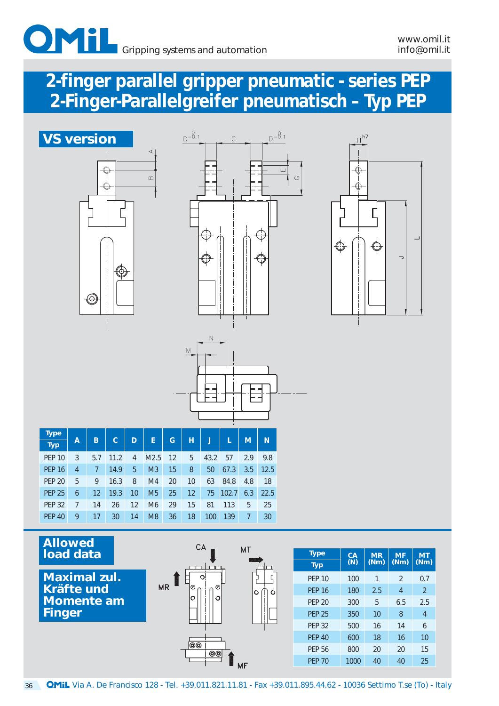



51



| <b>Type</b>   |   |     |      |    |                |    |    |      |       |     |      |
|---------------|---|-----|------|----|----------------|----|----|------|-------|-----|------|
| <b>Typ</b>    | A | B   | c    | D  | E              | G  | н  |      |       | M   | N    |
| <b>PEP 10</b> | 3 | 5.7 | 11.2 | 4  | M2.5           | 12 | 5  | 43.2 | 57    | 2.9 | 9.8  |
| <b>PEP 16</b> | 4 | 7   | 14.9 | 5  | M <sub>3</sub> | 15 | 8  | 50   | 67.3  | 3.5 | 12.5 |
| <b>PEP 20</b> | 5 | 9   | 16.3 | 8  | M <sub>4</sub> | 20 | 10 | 63   | 84.8  | 4.8 | 18   |
| <b>PEP 25</b> | 6 | 12  | 19.3 | 10 | M <sub>5</sub> | 25 | 12 | 75   | 102.7 | 6.3 | 22.5 |
| <b>PEP 32</b> | 7 | 14  | 26   | 12 | M <sub>6</sub> | 29 | 15 | 81   | 113   | 5   | 25   |
| <b>PEP 40</b> | 9 | 17  | 30   | 14 | M <sub>8</sub> | 36 | 18 | 100  | 139   | 7   | 30   |

 $M$ 

### **Allowed load data**

**Maximal zul. Kräfte und Momente am Finger**



| <b>Type</b>   | $C\overline{A}$ | <b>MR</b> | <b>MF</b>      | <b>MT</b>     |
|---------------|-----------------|-----------|----------------|---------------|
| <b>Typ</b>    | (N)             | (Nm)      | (Nm)           | (Nm)          |
| <b>PEP 10</b> | 100             | 1         | $\mathfrak{D}$ | 0.7           |
| <b>PEP 16</b> | 180             | 2.5       | 4              | $\mathcal{P}$ |
| <b>PFP 20</b> | 300             | 5         | 6.5            | 2.5           |
| <b>PEP 25</b> | 350             | 10        | 8              | 4             |
| <b>PEP 32</b> | 500             | 16        | 14             | 6             |
| <b>PEP 40</b> | 600             | 18        | 16             | 10            |
| <b>PEP 56</b> | 800             | 20        | 20             | 15            |
| <b>PFP 70</b> | 1000            | 40        | 40             | 25            |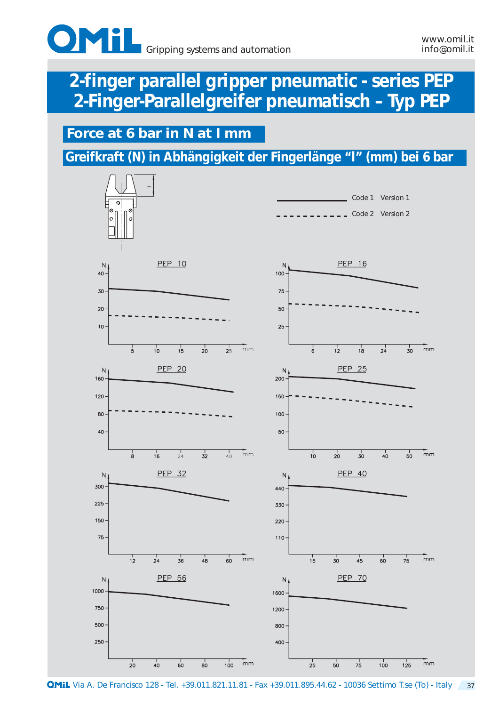

### **Force at 6 bar in N at I mm**

**Greifkraft (N) in Abhängigkeit der Fingerlänge "l" (mm) bei 6 bar**